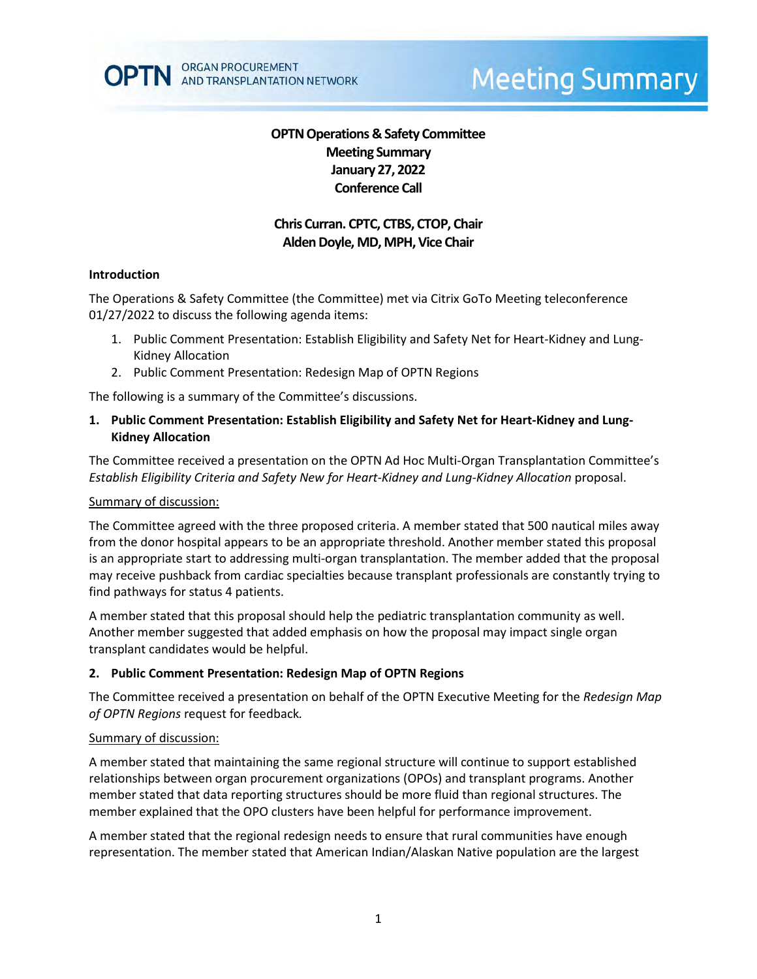# **Meeting Summary**

# **OPTN Operations & Safety Committee Meeting Summary January 27, 2022 Conference Call**

# **Chris Curran. CPTC, CTBS, CTOP, Chair** Alden Doyle, MD, MPH, Vice Chair

### **Introduction**

The Operations & Safety Committee (the Committee) met via Citrix GoTo Meeting teleconference 01/27/2022 to discuss the following agenda items:

- 1. Public Comment Presentation: Establish Eligibility and Safety Net for Heart-Kidney and Lung-Kidney Allocation
- 2. Public Comment Presentation: Redesign Map of OPTN Regions

The following is a summary of the Committee's discussions.

**1. Public Comment Presentation: Establish Eligibility and Safety Net for Heart-Kidney and Lung-Kidney Allocation**

The Committee received a presentation on the OPTN Ad Hoc Multi-Organ Transplantation Committee's *Establish Eligibility Criteria and Safety New for Heart-Kidney and Lung-Kidney Allocation* proposal.

#### Summary of discussion:

The Committee agreed with the three proposed criteria. A member stated that 500 nautical miles away from the donor hospital appears to be an appropriate threshold. Another member stated this proposal is an appropriate start to addressing multi-organ transplantation. The member added that the proposal may receive pushback from cardiac specialties because transplant professionals are constantly trying to find pathways for status 4 patients.

A member stated that this proposal should help the pediatric transplantation community as well. Another member suggested that added emphasis on how the proposal may impact single organ transplant candidates would be helpful.

### **2. Public Comment Presentation: Redesign Map of OPTN Regions**

The Committee received a presentation on behalf of the OPTN Executive Meeting for the *Redesign Map of OPTN Regions* request for feedback*.* 

### Summary of discussion:

A member stated that maintaining the same regional structure will continue to support established relationships between organ procurement organizations (OPOs) and transplant programs. Another member stated that data reporting structures should be more fluid than regional structures. The member explained that the OPO clusters have been helpful for performance improvement.

A member stated that the regional redesign needs to ensure that rural communities have enough representation. The member stated that American Indian/Alaskan Native population are the largest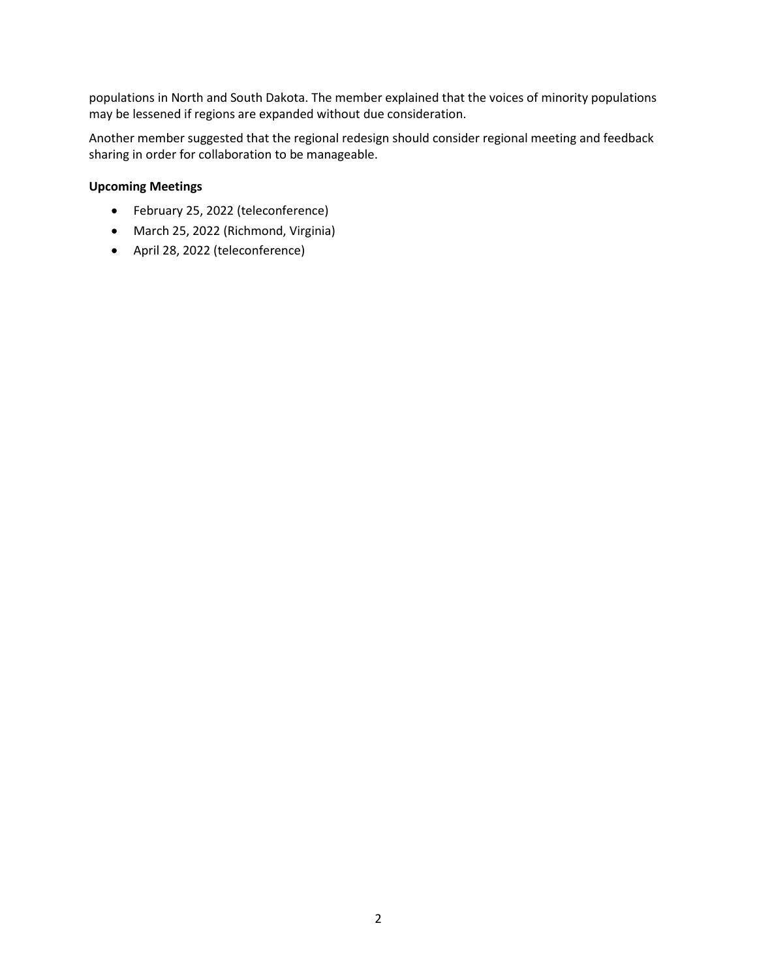populations in North and South Dakota. The member explained that the voices of minority populations may be lessened if regions are expanded without due consideration.

Another member suggested that the regional redesign should consider regional meeting and feedback sharing in order for collaboration to be manageable.

## **Upcoming Meetings**

- February 25, 2022 (teleconference)
- March 25, 2022 (Richmond, Virginia)
- April 28, 2022 (teleconference)